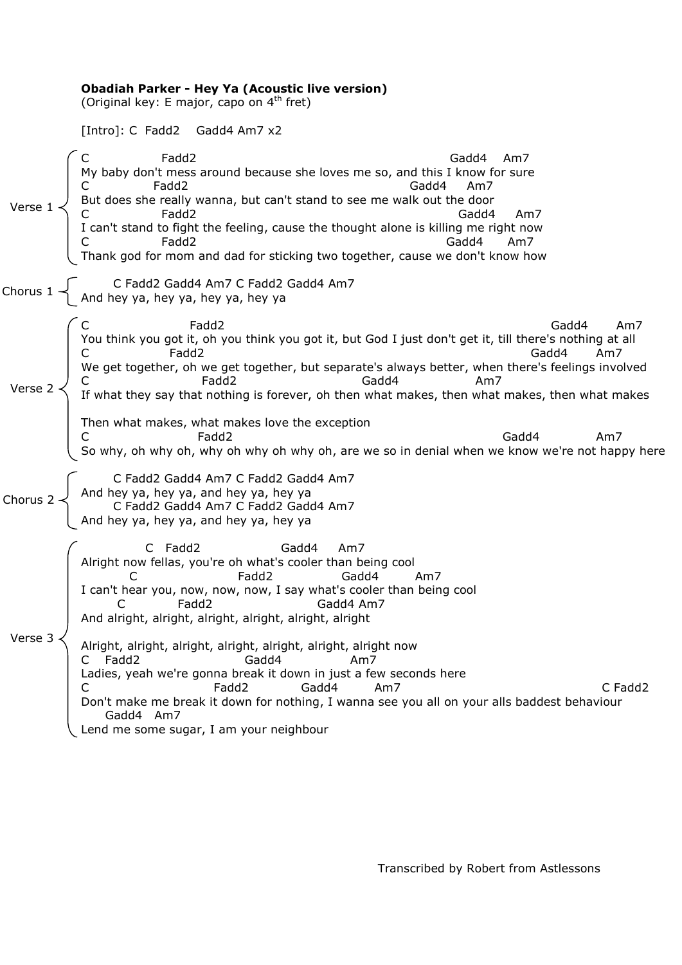|                  | <b>Obadiah Parker - Hey Ya (Acoustic live version)</b><br>(Original key: E major, capo on 4 <sup>th</sup> fret)                                                                                                                                                                                                                                                                                                                                                                                                                                                                                                                                          |
|------------------|----------------------------------------------------------------------------------------------------------------------------------------------------------------------------------------------------------------------------------------------------------------------------------------------------------------------------------------------------------------------------------------------------------------------------------------------------------------------------------------------------------------------------------------------------------------------------------------------------------------------------------------------------------|
|                  | [Intro]: C Fadd2 Gadd4 Am7 x2                                                                                                                                                                                                                                                                                                                                                                                                                                                                                                                                                                                                                            |
| Verse 1          | Fadd <sub>2</sub><br>Gadd4 Am7<br>My baby don't mess around because she loves me so, and this I know for sure<br>Fadd <sub>2</sub><br>Gadd4<br>Am7<br>But does she really wanna, but can't stand to see me walk out the door<br>Fadd2<br>Gadd4<br>Am7<br>I can't stand to fight the feeling, cause the thought alone is killing me right now<br>Fadd2<br>Gadd4<br>Am7<br>Thank god for mom and dad for sticking two together, cause we don't know how                                                                                                                                                                                                    |
| Chorus 1         | C Fadd2 Gadd4 Am7 C Fadd2 Gadd4 Am7<br>And hey ya, hey ya, hey ya, hey ya a                                                                                                                                                                                                                                                                                                                                                                                                                                                                                                                                                                              |
| Verse 2          | Fadd2<br>Gadd4<br>Am7<br>You think you got it, oh you think you got it, but God I just don't get it, till there's nothing at all<br>Fadd2<br>Gadd4<br>Am7<br>We get together, oh we get together, but separate's always better, when there's feelings involved<br>C Fadd2 Fadd2 Fadd2 Fadd2 Fadd2 Fadde Fadd2 Fadde Fadde Fadde Fadde Am7 Funnat they say that nothing is forever, oh then what makes, then what makes, then what makes<br>Then what makes, what makes love the exception<br>Fadd2<br>Gadd4<br>Am7<br>So why, oh why oh, why oh why oh why oh, are we so in denial when we know we're not happy here                                     |
| Chorus 2 $\prec$ | C Fadd2 Gadd4 Am7 C Fadd2 Gadd4 Am7<br>And hey ya, hey ya, and hey ya, hey ya<br>C Fadd2 Gadd4 Am7 C Fadd2 Gadd4 Am7<br>And hey ya, hey ya, and hey ya, hey ya                                                                                                                                                                                                                                                                                                                                                                                                                                                                                           |
| Verse 3          | C Fadd2<br>Gadd4<br>Am7<br>Alright now fellas, you're oh what's cooler than being cool<br>C<br>Fadd2<br>Gadd4<br>Am7<br>I can't hear you, now, now, now, I say what's cooler than being cool<br>Fadd2<br>Gadd4 Am7<br>C<br>And alright, alright, alright, alright, alright, alright<br>Alright, alright, alright, alright, alright, alright, alright now<br>C Fadd2<br>Gadd4<br>Am7<br>Ladies, yeah we're gonna break it down in just a few seconds here<br>C Fadd2<br>Fadd2<br>Gadd4<br>Am7<br>C<br>Don't make me break it down for nothing, I wanna see you all on your alls baddest behaviour<br>Gadd4 Am7<br>Lend me some sugar, I am your neighbour |